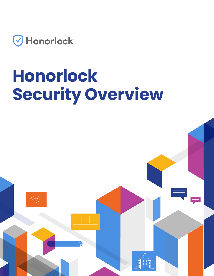

# **Honorlock Security Overview**

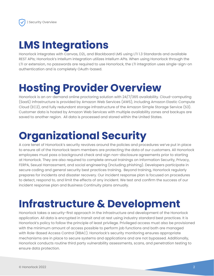#### **LMS Integrations**

Honorlock integrates with Canvas, D2L, and Blackboard LMS using LTI 1.3 Standards and available REST APIs; Honorlock's Intellum integration utilizes Intellum APIs. When using Honorlock through the LTI or extension, no passwords are required to use Honorlock, the LTI integration uses single-sign-on authentication and is completely OAuth-based.

### **Hosting Provider Overview**

Honorlock is an on-demand online proctoring solution with 24/7/365 availability. Cloud-computing (SaaS) infrastructure is provided by Amazon Web Services (AWS), including Amazon Elastic Compute Cloud (EC2), and fully redundant storage infrastructure of the Amazon Simple Storage Service (S3). Customer data is hosted by Amazon Web Services with multiple availability zones and backups are saved to another region. All data is processed and stored within the United States.

### **Organizational Security**

A core tenet of Honorlock's security revolves around the policies and procedures we've put in place to ensure all of the Honorlock team members are protecting the data of our customers. All Honorlock employees must pass a background check and sign non-disclosure agreements prior to starting at Honorlock. They are also required to complete annual trainings on Information Security, Privacy, FERPA, Sexual Harrassment, and social engineering (including phishing). Developers participate in secure coding and general security best practices training. Beyond training, Honorlock regularly prepares for incidents and disaster recovery. Our incident response plan is focused on procedures to detect, respond to, and limit the effects of any incident. We test and confirm the success of our incident response plan and Business Continuity plans annually.

#### **Infrastructure & Development**

Honorlock takes a security-first approach in the infrastructure and development of the Honorlock application. All data is encrypted in transit and at rest using industry standard best practices. It is Honorlock's policy to follow the principle of least privilege. Privileged access must also be provisioned with the minimum amount of access possible to perform job functions and both are managed with Role-Based Access Control (RBAC). Honorlock's security monitoring ensures appropriate mechanisms are in place to secure systems and applications and are not bypassed. Additionally, Honorlock conducts routine third party vulnerability assessments, scans, and penetration testing to ensure data protection.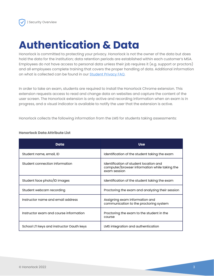#### **Authentication & Data**

Honorlock is committed to protecting your privacy. Honorlock is not the owner of the data but does hold the data for the institution; data retention periods are established within each customer's MSA. Employees do not have access to personal data unless their job requires it (e.g. support or proctors) and all employees complete training that covers the proper handling of data. Additional information on what is collected can be found in our [Student Privacy FAQ.](https://honorlock.com/studentprivacy/#faq)

In order to take an exam, students are required to install the Honorlock Chrome extension. This extension requests access to read and change data on websites and capture the content of the user screen. The Honorlock extension is only active and recording information when an exam is in progress, and a visual indicator is available to notify the user that the extension is active.

Honorlock collects the following information from the LMS for students taking assessments:

| Data                                      | <b>Use</b>                                                                                              |
|-------------------------------------------|---------------------------------------------------------------------------------------------------------|
| Student name, email, ID                   | Identification of the student taking the exam                                                           |
| Student connection information            | Identification of student location and<br>computer/browser information while taking the<br>exam session |
| Student face photo/ID images              | Identification of the student taking the exam                                                           |
| Student webcam recording                  | Proctoring the exam and analyzing their session                                                         |
| Instructor name and email address         | Assigning exam information and<br>communication to the proctoring system                                |
| Instructor exam and course information    | Proctoring the exam to the student in the<br>course                                                     |
| School LTI keys and instructor Oauth keys | LMS integration and authentication                                                                      |

#### **Honorlock Data Attribute List**